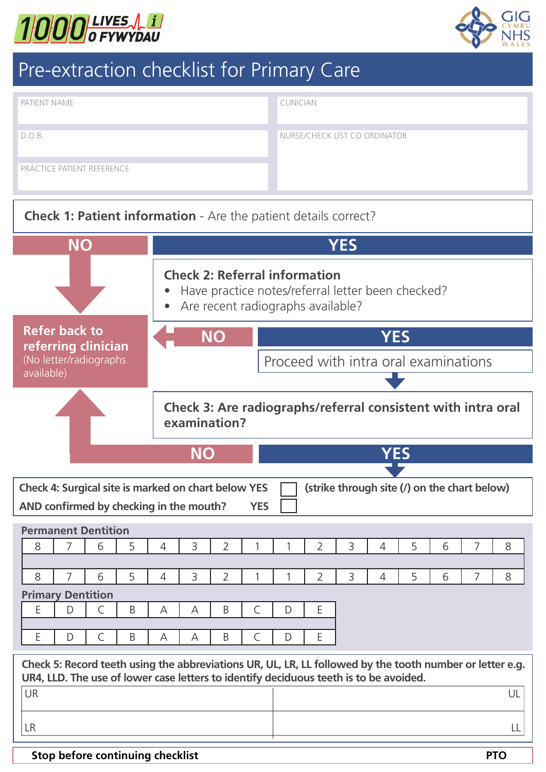



# Pre-extraction checklist for Primary Care

| <b>PATIENT NAME</b>                                                    |  | <b>CLINICIAN</b>              |  |  |  |  |
|------------------------------------------------------------------------|--|-------------------------------|--|--|--|--|
| D.O.B.                                                                 |  | NURSE/CHECK LIST CO ORDINATOR |  |  |  |  |
| <b>PRACTICE PATIENT REFERENCE</b>                                      |  |                               |  |  |  |  |
| <b>Check 1: Patient information</b> - Are the patient details correct? |  |                               |  |  |  |  |
| YES<br>NO                                                              |  |                               |  |  |  |  |

#### **Check 2: Referral information**

• Have practice notes/referral letter been checked?

**NO YES**

• Are recent radiographs available?

#### **Refer back to referring clinician**  (No letter/radiographs available)

**Check 3: Are radiographs/referral consistent with intra oral examination?**

Proceed with intra oral examinations



| Check 4: Surgical site is marked on chart below YES |                                         |  |  |  |  |  |  |  | (strike through site (/) on the chart below) |  |  |  |  |
|-----------------------------------------------------|-----------------------------------------|--|--|--|--|--|--|--|----------------------------------------------|--|--|--|--|
|                                                     | AND confirmed by checking in the mouth? |  |  |  |  |  |  |  |                                              |  |  |  |  |
|                                                     | <b>Permanent Dentition</b>              |  |  |  |  |  |  |  |                                              |  |  |  |  |
|                                                     |                                         |  |  |  |  |  |  |  |                                              |  |  |  |  |
|                                                     |                                         |  |  |  |  |  |  |  |                                              |  |  |  |  |
|                                                     |                                         |  |  |  |  |  |  |  |                                              |  |  |  |  |

8 7 6 5 4 3 2 1 1 2 3 4 5 6 7 8

| <b>Primary Dentition</b> |  |  |  |  |  |  |  |  |  |  |
|--------------------------|--|--|--|--|--|--|--|--|--|--|
|                          |  |  |  |  |  |  |  |  |  |  |
|                          |  |  |  |  |  |  |  |  |  |  |
|                          |  |  |  |  |  |  |  |  |  |  |

**Check 5: Record teeth using the abbreviations UR, UL, LR, LL followed by the tooth number or letter e.g. UR4, LLD. The use of lower case letters to identify deciduous teeth is to be avoided.** UR DE L'Albert (1999) et les contracts de la contract de la contract de la contract de la contract de la contra

LR LL

#### **Stop before continuing checklist PTO**